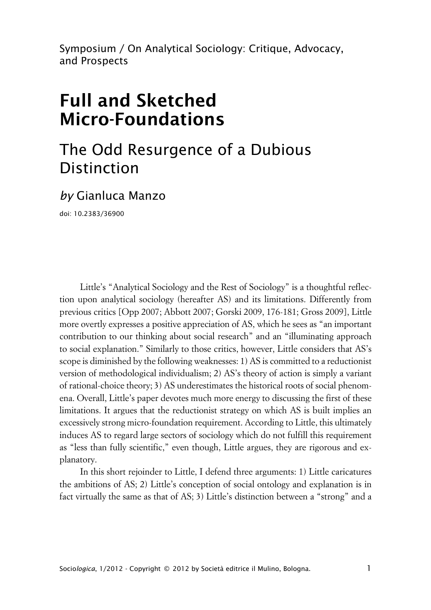Symposium / On Analytical Sociology: Critique, Advocacy, and Prospects

# **Full and Sketched Micro-Foundations**

## The Odd Resurgence of a Dubious Distinction

*by* Gianluca Manzo

doi: 10.2383/36900

Little's "Analytical Sociology and the Rest of Sociology" is a thoughtful reflection upon analytical sociology (hereafter AS) and its limitations. Differently from previous critics [Opp 2007; Abbott 2007; Gorski 2009, 176-181; Gross 2009], Little more overtly expresses a positive appreciation of AS, which he sees as "an important contribution to our thinking about social research" and an "illuminating approach to social explanation." Similarly to those critics, however, Little considers that AS's scope is diminished by the following weaknesses: 1) AS is committed to a reductionist version of methodological individualism; 2) AS's theory of action is simply a variant of rational-choice theory; 3) AS underestimates the historical roots of social phenomena. Overall, Little's paper devotes much more energy to discussing the first of these limitations. It argues that the reductionist strategy on which AS is built implies an excessively strong micro-foundation requirement. According to Little, this ultimately induces AS to regard large sectors of sociology which do not fulfill this requirement as "less than fully scientific," even though, Little argues, they are rigorous and explanatory.

In this short rejoinder to Little, I defend three arguments: 1) Little caricatures the ambitions of AS; 2) Little's conception of social ontology and explanation is in fact virtually the same as that of AS; 3) Little's distinction between a "strong" and a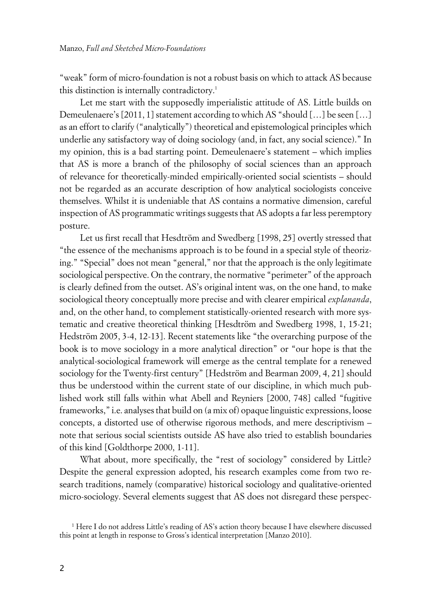"weak" form of micro-foundation is not a robust basis on which to attack AS because this distinction is internally contradictory.<sup>1</sup>

Let me start with the supposedly imperialistic attitude of AS. Little builds on Demeulenaere's [2011, 1] statement according to which AS "should […] be seen […] as an effort to clarify ("analytically") theoretical and epistemological principles which underlie any satisfactory way of doing sociology (and, in fact, any social science)." In my opinion, this is a bad starting point. Demeulenaere's statement – which implies that AS is more a branch of the philosophy of social sciences than an approach of relevance for theoretically-minded empirically-oriented social scientists – should not be regarded as an accurate description of how analytical sociologists conceive themselves. Whilst it is undeniable that AS contains a normative dimension, careful inspection of AS programmatic writings suggests that AS adopts a far less peremptory posture.

Let us first recall that Hesdtröm and Swedberg [1998, 25] overtly stressed that "the essence of the mechanisms approach is to be found in a special style of theorizing." "Special" does not mean "general," nor that the approach is the only legitimate sociological perspective. On the contrary, the normative "perimeter" of the approach is clearly defined from the outset. AS's original intent was, on the one hand, to make sociological theory conceptually more precise and with clearer empirical *explananda*, and, on the other hand, to complement statistically-oriented research with more systematic and creative theoretical thinking [Hesdtröm and Swedberg 1998, 1, 15-21; Hedström 2005, 3-4, 12-13]. Recent statements like "the overarching purpose of the book is to move sociology in a more analytical direction" or "our hope is that the analytical-sociological framework will emerge as the central template for a renewed sociology for the Twenty-first century" [Hedström and Bearman 2009, 4, 21] should thus be understood within the current state of our discipline, in which much published work still falls within what Abell and Reyniers [2000, 748] called "fugitive frameworks," i.e. analyses that build on (a mix of) opaque linguistic expressions, loose concepts, a distorted use of otherwise rigorous methods, and mere descriptivism – note that serious social scientists outside AS have also tried to establish boundaries of this kind [Goldthorpe 2000, 1-11].

What about, more specifically, the "rest of sociology" considered by Little? Despite the general expression adopted, his research examples come from two research traditions, namely (comparative) historical sociology and qualitative-oriented micro-sociology. Several elements suggest that AS does not disregard these perspec-

<sup>1</sup> Here I do not address Little's reading of AS's action theory because I have elsewhere discussed this point at length in response to Gross's identical interpretation [Manzo 2010].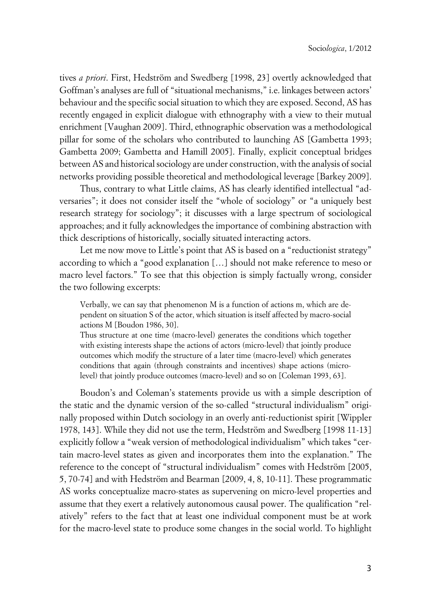tives *a priori*. First, Hedström and Swedberg [1998, 23] overtly acknowledged that Goffman's analyses are full of "situational mechanisms," i.e. linkages between actors' behaviour and the specific social situation to which they are exposed. Second, AS has recently engaged in explicit dialogue with ethnography with a view to their mutual enrichment [Vaughan 2009]. Third, ethnographic observation was a methodological pillar for some of the scholars who contributed to launching AS [Gambetta 1993; Gambetta 2009; Gambetta and Hamill 2005]. Finally, explicit conceptual bridges between AS and historical sociology are under construction, with the analysis of social networks providing possible theoretical and methodological leverage [Barkey 2009].

Thus, contrary to what Little claims, AS has clearly identified intellectual "adversaries"; it does not consider itself the "whole of sociology" or "a uniquely best research strategy for sociology"; it discusses with a large spectrum of sociological approaches; and it fully acknowledges the importance of combining abstraction with thick descriptions of historically, socially situated interacting actors.

Let me now move to Little's point that AS is based on a "reductionist strategy" according to which a "good explanation […] should not make reference to meso or macro level factors." To see that this objection is simply factually wrong, consider the two following excerpts:

Verbally, we can say that phenomenon M is a function of actions m, which are dependent on situation S of the actor, which situation is itself affected by macro-social actions M [Boudon 1986, 30].

Thus structure at one time (macro-level) generates the conditions which together with existing interests shape the actions of actors (micro-level) that jointly produce outcomes which modify the structure of a later time (macro-level) which generates conditions that again (through constraints and incentives) shape actions (microlevel) that jointly produce outcomes (macro-level) and so on [Coleman 1993, 63].

Boudon's and Coleman's statements provide us with a simple description of the static and the dynamic version of the so-called "structural individualism" originally proposed within Dutch sociology in an overly anti-reductionist spirit [Wippler 1978, 143]. While they did not use the term, Hedström and Swedberg [1998 11-13] explicitly follow a "weak version of methodological individualism" which takes "certain macro-level states as given and incorporates them into the explanation." The reference to the concept of "structural individualism" comes with Hedström [2005, 5, 70-74] and with Hedström and Bearman [2009, 4, 8, 10-11]. These programmatic AS works conceptualize macro-states as supervening on micro-level properties and assume that they exert a relatively autonomous causal power. The qualification "relatively" refers to the fact that at least one individual component must be at work for the macro-level state to produce some changes in the social world. To highlight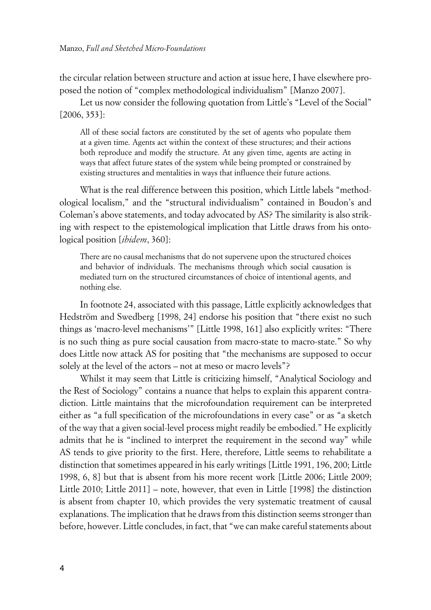the circular relation between structure and action at issue here, I have elsewhere proposed the notion of "complex methodological individualism" [Manzo 2007].

Let us now consider the following quotation from Little's "Level of the Social" [2006, 353]:

All of these social factors are constituted by the set of agents who populate them at a given time. Agents act within the context of these structures; and their actions both reproduce and modify the structure. At any given time, agents are acting in ways that affect future states of the system while being prompted or constrained by existing structures and mentalities in ways that influence their future actions.

What is the real difference between this position, which Little labels "methodological localism," and the "structural individualism" contained in Boudon's and Coleman's above statements, and today advocated by AS? The similarity is also striking with respect to the epistemological implication that Little draws from his ontological position [*ibidem*, 360]:

There are no causal mechanisms that do not supervene upon the structured choices and behavior of individuals. The mechanisms through which social causation is mediated turn on the structured circumstances of choice of intentional agents, and nothing else.

In footnote 24, associated with this passage, Little explicitly acknowledges that Hedström and Swedberg [1998, 24] endorse his position that "there exist no such things as 'macro-level mechanisms'" [Little 1998, 161] also explicitly writes: "There is no such thing as pure social causation from macro-state to macro-state." So why does Little now attack AS for positing that "the mechanisms are supposed to occur solely at the level of the actors – not at meso or macro levels"?

Whilst it may seem that Little is criticizing himself, "Analytical Sociology and the Rest of Sociology" contains a nuance that helps to explain this apparent contradiction. Little maintains that the microfoundation requirement can be interpreted either as "a full specification of the microfoundations in every case" or as "a sketch of the way that a given social-level process might readily be embodied." He explicitly admits that he is "inclined to interpret the requirement in the second way" while AS tends to give priority to the first. Here, therefore, Little seems to rehabilitate a distinction that sometimes appeared in his early writings [Little 1991, 196, 200; Little 1998, 6, 8] but that is absent from his more recent work [Little 2006; Little 2009; Little 2010; Little 2011] – note, however, that even in Little [1998] the distinction is absent from chapter 10, which provides the very systematic treatment of causal explanations. The implication that he draws from this distinction seems stronger than before, however. Little concludes, in fact, that "we can make careful statements about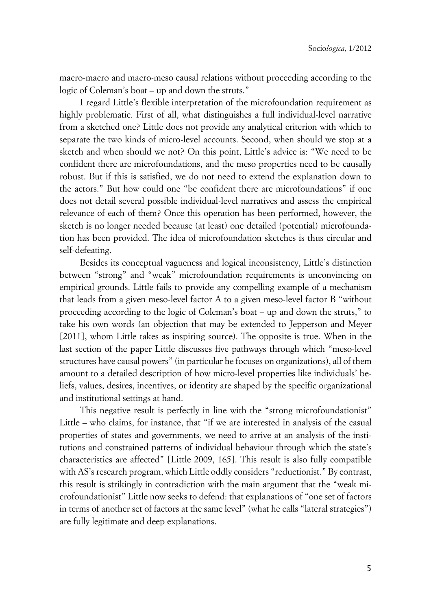macro-macro and macro-meso causal relations without proceeding according to the logic of Coleman's boat – up and down the struts."

I regard Little's flexible interpretation of the microfoundation requirement as highly problematic. First of all, what distinguishes a full individual-level narrative from a sketched one? Little does not provide any analytical criterion with which to separate the two kinds of micro-level accounts. Second, when should we stop at a sketch and when should we not? On this point, Little's advice is: "We need to be confident there are microfoundations, and the meso properties need to be causally robust. But if this is satisfied, we do not need to extend the explanation down to the actors." But how could one "be confident there are microfoundations" if one does not detail several possible individual-level narratives and assess the empirical relevance of each of them? Once this operation has been performed, however, the sketch is no longer needed because (at least) one detailed (potential) microfoundation has been provided. The idea of microfoundation sketches is thus circular and self-defeating.

Besides its conceptual vagueness and logical inconsistency, Little's distinction between "strong" and "weak" microfoundation requirements is unconvincing on empirical grounds. Little fails to provide any compelling example of a mechanism that leads from a given meso-level factor A to a given meso-level factor B "without proceeding according to the logic of Coleman's boat – up and down the struts," to take his own words (an objection that may be extended to Jepperson and Meyer [2011], whom Little takes as inspiring source). The opposite is true. When in the last section of the paper Little discusses five pathways through which "meso-level structures have causal powers" (in particular he focuses on organizations), all of them amount to a detailed description of how micro-level properties like individuals' beliefs, values, desires, incentives, or identity are shaped by the specific organizational and institutional settings at hand.

This negative result is perfectly in line with the "strong microfoundationist" Little – who claims, for instance, that "if we are interested in analysis of the casual properties of states and governments, we need to arrive at an analysis of the institutions and constrained patterns of individual behaviour through which the state's characteristics are affected" [Little 2009, 165]. This result is also fully compatible with AS's research program, which Little oddly considers "reductionist." By contrast, this result is strikingly in contradiction with the main argument that the "weak microfoundationist" Little now seeks to defend: that explanations of "one set of factors in terms of another set of factors at the same level" (what he calls "lateral strategies") are fully legitimate and deep explanations.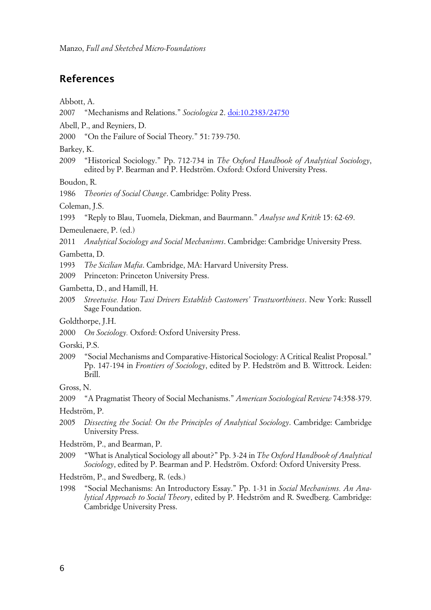#### **References**

Abbott, A.

- 2007 "Mechanisms and Relations." *Sociologica* 2. [doi:10.2383/24750](http://www.sociologica.mulino.it/doi/10.2383/24750)
- Abell, P., and Reyniers, D.
- 2000 "On the Failure of Social Theory." 51: 739-750.

Barkey, K.

2009 "Historical Sociology." Pp. 712-734 in *The Oxford Handbook of Analytical Sociology*, edited by P. Bearman and P. Hedström. Oxford: Oxford University Press.

Boudon, R.

1986 *Theories of Social Change*. Cambridge: Polity Press.

Coleman, J.S.

1993 "Reply to Blau, Tuomela, Diekman, and Baurmann." *Analyse und Kritik* 15: 62-69.

Demeulenaere, P. (ed.)

2011 *Analytical Sociology and Social Mechanisms*. Cambridge: Cambridge University Press.

Gambetta, D.

1993 *The Sicilian Mafia*. Cambridge, MA: Harvard University Press.

2009 Princeton: Princeton University Press.

Gambetta, D., and Hamill, H.

2005 *Streetwise. How Taxi Drivers Establish Customers' Trustworthiness*. New York: Russell Sage Foundation.

Goldthorpe, J.H.

2000 *On Sociology.* Oxford: Oxford University Press.

- Gorski, P.S.
- 2009 "Social Mechanisms and Comparative-Historical Sociology: A Critical Realist Proposal." Pp. 147-194 in *Frontiers of Sociology*, edited by P. Hedström and B. Wittrock. Leiden: Brill.

Gross, N.

2009 "A Pragmatist Theory of Social Mechanisms." *American Sociological Review* 74:358-379.

Hedström, P.

- 2005 *Dissecting the Social: On the Principles of Analytical Sociology*. Cambridge: Cambridge University Press.
- Hedström, P., and Bearman, P.
- 2009 "What is Analytical Sociology all about?" Pp. 3-24 in *The Oxford Handbook of Analytical Sociology*, edited by P. Bearman and P. Hedström. Oxford: Oxford University Press.

Hedström, P., and Swedberg, R. (eds.)

1998 "Social Mechanisms: An Introductory Essay." Pp. 1-31 in *Social Mechanisms. An Analytical Approach to Social Theory*, edited by P. Hedström and R. Swedberg. Cambridge: Cambridge University Press.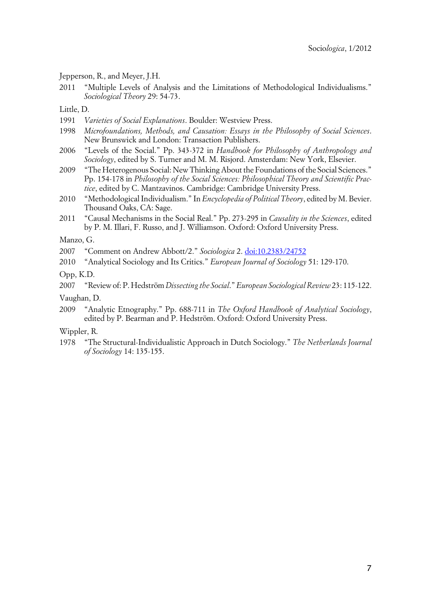Jepperson, R., and Meyer, J.H.

2011 "Multiple Levels of Analysis and the Limitations of Methodological Individualisms." *Sociological Theory* 29: 54-73.

Little, D.

- 1991 *Varieties of Social Explanations*. Boulder: Westview Press.
- 1998 *Microfoundations, Methods, and Causation: Essays in the Philosophy of Social Sciences*. New Brunswick and London: Transaction Publishers.
- 2006 "Levels of the Social." Pp. 343-372 in *Handbook for Philosophy of Anthropology and Sociology*, edited by S. Turner and M. M. Risjord. Amsterdam: New York, Elsevier.
- 2009 "The Heterogenous Social: New Thinking About the Foundations of the Social Sciences." Pp. 154-178 in *Philosophy of the Social Sciences: Philosophical Theory and Scientific Practice*, edited by C. Mantzavinos. Cambridge: Cambridge University Press.
- 2010 "Methodological Individualism." In *Encyclopedia of Political Theory*, edited by M. Bevier. Thousand Oaks, CA: Sage.
- 2011 "Causal Mechanisms in the Social Real." Pp. 273-295 in *Causality in the Sciences*, edited by P. M. Illari, F. Russo, and J. Williamson. Oxford: Oxford University Press.

Manzo, G.

2007 "Comment on Andrew Abbott/2." *Sociologica* 2. [doi:10.2383/24752](http://www.sociologica.mulino.it/doi/10.2383/24752)

2010 "Analytical Sociology and Its Critics." *European Journal of Sociology* 51: 129-170.

Opp, K.D.

2007 "Review of: P. Hedström *Dissecting the Social*." *European Sociological Review* 23: 115-122.

Vaughan, D.

2009 "Analytic Etnography." Pp. 688-711 in *The Oxford Handbook of Analytical Sociology*, edited by P. Bearman and P. Hedström. Oxford: Oxford University Press.

Wippler, R.

1978 "The Structural-Individualistic Approach in Dutch Sociology." *The Netherlands Journal of Sociology* 14: 135-155.